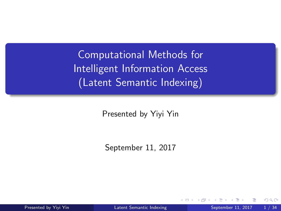<span id="page-0-0"></span>Computational Methods for Intelligent Information Access (Latent Semantic Indexing)

Presented by Yiyi Yin

September 11, 2017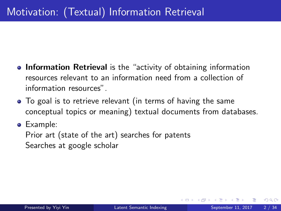- **Information Retrieval** is the "activity of obtaining information resources relevant to an information need from a collection of information resources".
- To goal is to retrieve relevant (in terms of having the same conceptual topics or meaning) textual documents from databases.
- Example:

Prior art (state of the art) searches for patents Searches at google scholar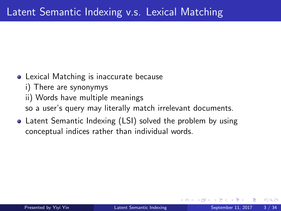- **•** Lexical Matching is inaccurate because
	- i) There are synonymys
	- ii) Words have multiple meanings
	- so a user's query may literally match irrelevant documents.
- Latent Semantic Indexing (LSI) solved the problem by using conceptual indices rather than individual words.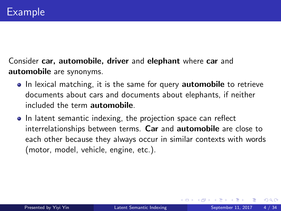Consider car, automobile, driver and elephant where car and automobile are synonyms.

- In lexical matching, it is the same for query **automobile** to retrieve documents about cars and documents about elephants, if neither included the term automobile.
- In latent semantic indexing, the projection space can reflect interrelationships between terms. Car and automobile are close to each other because they always occur in similar contexts with words (motor, model, vehicle, engine, etc.).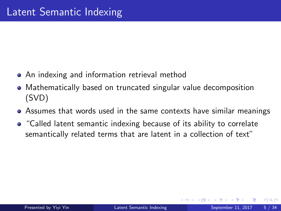- An indexing and information retrieval method
- Mathematically based on truncated singular value decomposition (SVD)
- Assumes that words used in the same contexts have similar meanings
- "Called latent semantic indexing because of its ability to correlate semantically related terms that are latent in a collection of text"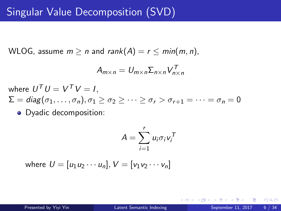# Singular Value Decomposition (SVD)

WLOG, assume  $m \ge n$  and rank $(A) = r \le min(m, n)$ ,

$$
A_{m \times n} = U_{m \times n} \Sigma_{n \times n} V_{n \times n}^T
$$

where  $U^{\mathcal{T}}U=V^{\mathcal{T}}V=I,$  $\Sigma = \text{diag}(\sigma_1, \ldots, \sigma_n), \sigma_1 \geq \sigma_2 \geq \cdots \geq \sigma_r > \sigma_{r+1} = \cdots = \sigma_n = 0$ • Dyadic decomposition:

$$
A = \sum_{i=1}^r u_i \sigma_i v_i^T
$$

where  $U = [u_1u_2 \cdots u_n]$ ,  $V = [v_1v_2 \cdots v_n]$ 

 $QQ$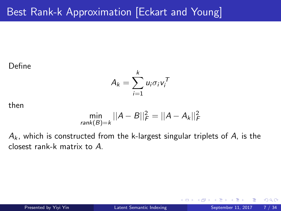# Best Rank-k Approximation [Eckart and Young]

#### Define

$$
A_k = \sum_{i=1}^k u_i \sigma_i v_i^T
$$

then

$$
\min_{\text{rank}(B)=k} ||A - B||_F^2 = ||A - A_k||_F^2
$$

 $A_k$ , which is constructed from the k-largest singular triplets of A, is the closest rank-k matrix to A.

4 0 8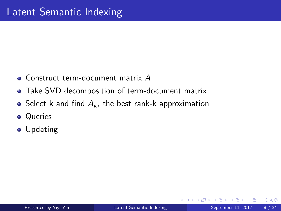- Construct term-document matrix A
- Take SVD decomposition of term-document matrix
- Select k and find  $A_k$ , the best rank-k approximation
- **•** Queries
- **•** Updating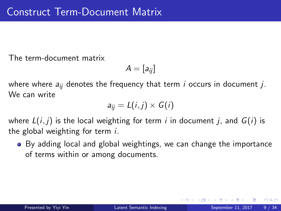The term-document matrix

$$
A=[a_{ij}]
$$

where where  $a_{ii}$  denotes the frequency that term *i* occurs in document *j*. We can write

$$
a_{ij}=L(i,j)\times G(i)
$$

where  $L(i, j)$  is the local weighting for term i in document j, and  $G(i)$  is the global weighting for term i.

• By adding local and global weightings, we can change the importance of terms within or among documents.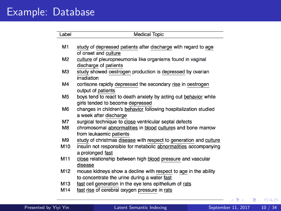#### Example: Database

| Label           | <b>Medical Topic</b>                                                                 |
|-----------------|--------------------------------------------------------------------------------------|
|                 |                                                                                      |
| M1              | study of depressed patients after discharge with regard to age                       |
|                 | of onset and culture                                                                 |
| M <sub>2</sub>  | culture of pleuropneumonia like organisms found in vaginal                           |
|                 | discharge of patients                                                                |
| ΜЗ              | study showed oestrogen production is depressed by ovarian<br>irradiation             |
| M4              | cortisone rapidly depressed the secondary rise in oestrogen<br>output of patients    |
| <b>M5</b>       | boys tend to react to death anxiety by acting out behavior while                     |
|                 | girls tended to become depressed                                                     |
| M <sub>6</sub>  | changes in children's behavior following hospitalization studied                     |
|                 | a week after discharge                                                               |
| M7              | surgical technique to close ventricular septal defects                               |
| M8              | chromosomal abnormalities in blood cultures and bone marrow                          |
|                 | from leukaemic patients                                                              |
| M <sub>9</sub>  | study of christmas disease with respect to generation and culture                    |
| M <sub>10</sub> | insulin not responsible for metabolic abnormalities accompanying<br>a prolonged fast |
| M11             | close relationship between high blood pressure and vascular<br>disease               |
| M <sub>12</sub> | mouse kidneys show a decline with respect to age in the ability                      |
|                 | to concentrate the urine during a water fast                                         |
| M13             | fast cell generation in the eye lens epithelium of rats                              |
| M14             | fast rise of cerebral oxygen pressure in rats                                        |
|                 |                                                                                      |

重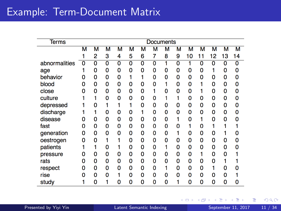## Example: Term-Document Matrix

| <b>Terms</b>  | <b>Documents</b> |                |                |   |                         |   |                         |   |                         |    |    |                         |                         |                |
|---------------|------------------|----------------|----------------|---|-------------------------|---|-------------------------|---|-------------------------|----|----|-------------------------|-------------------------|----------------|
|               | М                | м              | м              | м | М                       | м | м                       | м | М                       | м  | м  | м                       | $\overline{\mathsf{M}}$ | м              |
|               |                  | 2              | 3              | 4 | 5                       | 6 | 7                       | 8 | 9                       | 10 | 11 | 12                      | 13                      | 14             |
| abnormalities | $\overline{0}$   | $\overline{0}$ | $\overline{0}$ | ō | $\overline{\mathbf{0}}$ | Ō | $\overline{\mathbf{0}}$ | 1 | $\overline{\mathbf{0}}$ | 1  | 0  | $\overline{\mathbf{0}}$ | $\overline{\mathbf{0}}$ | $\overline{0}$ |
| age           |                  | 0              | 0              | 0 | 0                       | 0 | 0                       | 0 | 0                       | 0  | 0  | 1                       | 0                       | 0              |
| behavior      | O                | 0              | 0              | 0 |                         | 1 | 0                       | 0 | 0                       | 0  | 0  | 0                       | 0                       | 0              |
| blood         | o                | 0              | 0              | 0 | 0                       | 0 | 0                       |   | 0                       | 0  |    | 0                       | 0                       | 0              |
| close         | n                | 0              | 0              | 0 | 0                       | 0 | 1                       | 0 | $\Omega$                | 0  |    | 0                       | 0                       | 0              |
| culture       |                  |                | 0              | 0 | 0                       | 0 | 0                       |   |                         | 0  | 0  | 0                       | 0                       | 0              |
| depressed     |                  | 0              |                | 1 | 1                       | 0 | 0                       | 0 | 0                       | 0  | 0  | 0                       | 0                       | 0              |
| discharge     |                  |                | 0              | 0 | 0                       |   | 0                       | 0 | 0                       | 0  | 0  | 0                       | 0                       | 0              |
| disease       | o                | 0              | 0              | 0 | 0                       | 0 | 0                       | 0 |                         | 0  |    | 0                       | 0                       | 0              |
| fast          | 0                | 0              | 0              | 0 | 0                       | 0 | 0                       | 0 | 0                       |    | 0  |                         |                         |                |
| generation    | 0                | 0              | 0              | 0 | 0                       | 0 | 0                       | 0 |                         | 0  | 0  | 0                       |                         | 0              |
| oestrogen     | 0                | 0              |                |   | 0                       | 0 | 0                       | 0 | 0                       | 0  | 0  | 0                       | 0                       | 0              |
| patients      |                  |                | 0              |   | 0                       | 0 | 0                       |   | 0                       | 0  | 0  | 0                       | 0                       | 0              |
| pressure      | o                | 0              | 0              | ٥ | 0                       | 0 | 0                       | 0 | 0                       | 0  |    | 0                       | 0                       |                |
| rats          | 0                | 0              | 0              | 0 | 0                       | 0 | 0                       | 0 | 0                       | 0  | 0  | 0                       | 1                       |                |
| respect       | o                | 0              | 0              | 0 | 0                       | 0 | 0                       |   | 0                       | 0  | 0  |                         | 0                       | 0              |
| rise          | n                | 0              | 0              |   | 0                       | 0 | 0                       | 0 | 0                       | 0  | 0  | 0                       | 0                       |                |
| study         |                  | 0              |                | 0 | 0                       | 0 | 0                       | ٥ |                         | 0  | 0  | 0                       | 0                       | 0              |

Þ J.

**← ロ → → ← 何 →** 

 $299$ 

重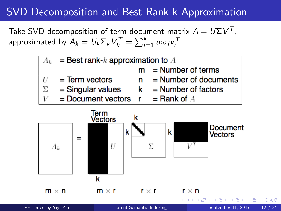# SVD Decomposition and Best Rank-k Approximation

Take SVD decomposition of term-document matrix  $A = U \Sigma V^T$  , approximated by  $A_k = U_k \Sigma_k V_k^{\mathcal{T}} = \sum_{i=1}^k u_i \sigma_i v_i^{\mathcal{T}}$ .



Presented by Yivi Yin Christian [Latent Semantic Indexing](#page-0-0) September 11, 2017 12 / 34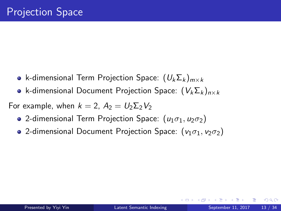- k-dimensional Term Projection Space:  $(U_k \Sigma_k)_{m \times k}$
- k-dimensional Document Projection Space:  $(V_k \Sigma_k)_{n \times k}$

For example, when  $k = 2$ ,  $A_2 = U_2 \Sigma_2 V_2$ 

- 2-dimensional Term Projection Space:  $(u_1\sigma_1, u_2\sigma_2)$
- 2-dimensional Document Projection Space:  $(v_1 \sigma_1, v_2 \sigma_2)$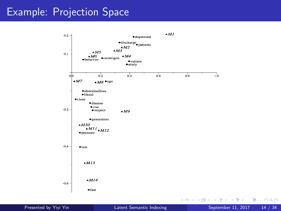#### Example: Projection Space



 $299$ 

画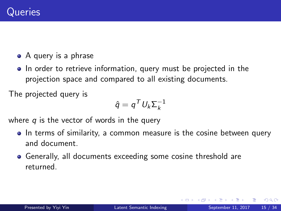- A query is a phrase
- In order to retrieve information, query must be projected in the projection space and compared to all existing documents.

The projected query is

$$
\hat{q} = q^T U_k \Sigma_k^{-1}
$$

where  $q$  is the vector of words in the query

- In terms of similarity, a common measure is the cosine between query and document.
- Generally, all documents exceeding some cosine threshold are returned.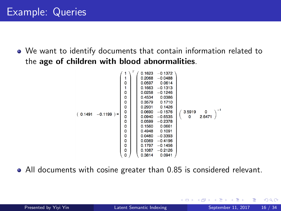We want to identify documents that contain information related to the age of children with blood abnormalities.

|          |             |             | T | 0.1623 | $-0.1372$ |        |        |
|----------|-------------|-------------|---|--------|-----------|--------|--------|
|          |             | 1           |   | 0.2068 | $-0.0488$ |        |        |
|          |             | $\mathbf 0$ |   | 0.0597 | 0.0614    |        |        |
|          |             | 1           |   | 0.1663 | $-0.1313$ |        |        |
|          |             | $\mathbf 0$ |   | 0.0258 | $-0.1246$ |        |        |
|          |             | 0           |   | 0.4534 | 0.0386    |        |        |
|          |             | 0           |   | 0.3579 | 0.1710    |        |        |
|          | $-0.1199$ = | $\mathbf 0$ |   | 0.2931 | 0.1426    |        |        |
| (0.1491) |             | 0           |   | 0.0690 | $-0.1576$ | 3.5919 | 0      |
|          |             | 0           |   | 0.0940 | $-0.6535$ | 0      | 2.6471 |
|          |             | 0           |   | 0.0599 | $-0.2378$ |        |        |
|          |             | 0           |   | 0.1560 | 0.0661    |        |        |
|          |             | 0           |   | 0.4948 | 0.1091    |        |        |
|          |             | 0           |   | 0.0460 | $-0.3393$ |        |        |
|          |             | 0           |   | 0.0369 | $-0.4196$ |        |        |
|          |             | 0           |   | 0.1797 | $-0.1456$ |        |        |
|          |             | 0           |   | 0.1087 | $-0.2126$ |        |        |
|          |             | 0           |   | 0.3814 | 0.0941    |        |        |

All documents with cosine greater than 0.85 is considered relevant.

 $QQ$ 

イロト イ押ト イヨト イヨト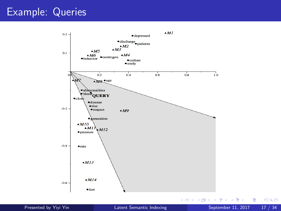#### Example: Queries



Presented by Yivi Yin **[Latent Semantic Indexing](#page-0-0) September 11, 2017** 17 / 34

 $2990$ 

活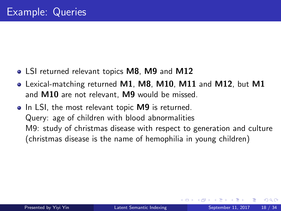- LSI returned relevant topics M8, M9 and M12
- Lexical-matching returned M1, M8, M10, M11 and M12, but M1 and M10 are not relevant, M9 would be missed.
- In LSI, the most relevant topic M9 is returned. Query: age of children with blood abnormalities M9: study of christmas disease with respect to generation and culture (christmas disease is the name of hemophilia in young children)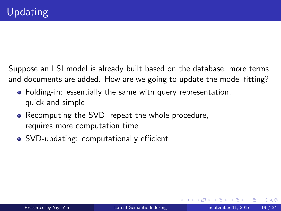Suppose an LSI model is already built based on the database, more terms and documents are added. How are we going to update the model fitting?

- Folding-in: essentially the same with query representation, quick and simple
- Recomputing the SVD: repeat the whole procedure, requires more computation time
- SVD-updating: computationally efficient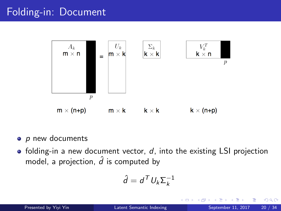## Folding-in: Document



- $\bullet$  p new documents
- folding-in a new document vector,  $d$ , into the existing LSI projection model, a projection,  $\hat{d}$  is computed by

$$
\hat{d} = d^T U_k \Sigma_k^{-1}
$$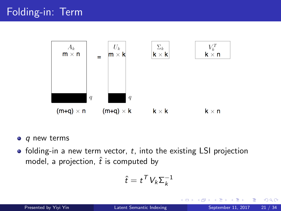

- $q$  new terms
- $\bullet$  folding-in a new term vector, t, into the existing LSI projection model, a projection,  $\hat{t}$  is computed by

$$
\hat{t} = t^T V_k \Sigma_k^{-1}
$$

 $\leftarrow$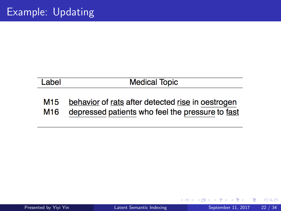Label

#### **Medical Topic**

- behavior of rats after detected rise in oestrogen M<sub>15</sub>
- depressed patients who feel the pressure to fast M<sub>16</sub>

4 0 8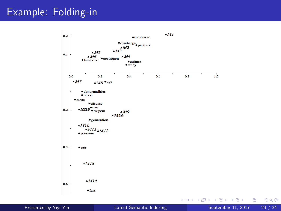#### Example: Folding-in



Presented by Yivi Yin **[Latent Semantic Indexing](#page-0-0) September 11, 2017** 23 / 34

 $299$ 

活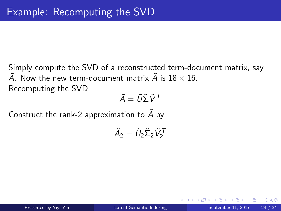Simply compute the SVD of a reconstructed term-document matrix, say  $\tilde{A}$ . Now the new term-document matrix  $\tilde{A}$  is 18  $\times$  16. Recomputing the SVD

 $\tilde{A} = \tilde{U}\tilde{\Sigma}\tilde{V}^{\mathsf{T}}$ 

Construct the rank-2 approximation to  $\tilde{A}$  by

$$
\tilde{A}_2=\tilde{U}_2\tilde{\Sigma}_2\tilde{V}_2^{\mathcal{T}}
$$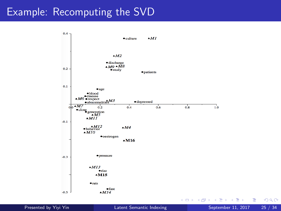#### Example: Recomputing the SVD



Presented by Yivi Yin **[Latent Semantic Indexing](#page-0-0) September 11, 2017** 25 / 34

 $299$ 

э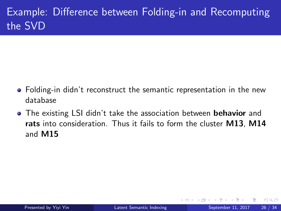# Example: Difference between Folding-in and Recomputing the SVD

- Folding-in didn't reconstruct the semantic representation in the new database
- The existing LSI didn't take the association between **behavior** and rats into consideration. Thus it fails to form the cluster M13, M14 and M15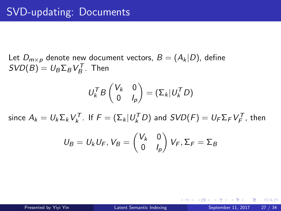Let  $D_{m\times p}$  denote new document vectors,  $B = (A_k|D)$ , define  $SVD(B) = U_B \Sigma_B V_B^T$ . Then

$$
U_k^T B \begin{pmatrix} V_k & 0 \\ 0 & I_p \end{pmatrix} = (\Sigma_k | U_k^T D)
$$

since  $A_k = U_k \Sigma_k V_k^T$ . If  $F = (\Sigma_k | U_k^T D)$  and  $SVD(F) = U_F \Sigma_F V_F^T$ , then

$$
U_B = U_k U_F, V_B = \begin{pmatrix} V_k & 0 \\ 0 & I_p \end{pmatrix} V_F, \Sigma_F = \Sigma_B
$$

Presented by Yiyi Yin **[Latent Semantic Indexing](#page-0-0) September 11, 2017** 27 / 34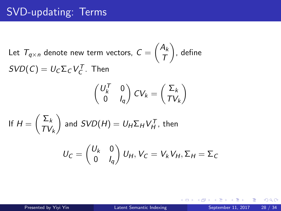# SVD-updating: Terms

Let  $\mathcal{T}_{q\times n}$  denote new term vectors,  $\mathcal{C}=\left(\frac{A_k}{\mathcal{T}}\right)$ T  $\big)$ , define  $SVD(C) = U_C\Sigma_C V_C^T$ . Then

$$
\begin{pmatrix} U_k^T & 0 \\ 0 & I_q \end{pmatrix} CV_k = \begin{pmatrix} \Sigma_k \\ TV_k \end{pmatrix}
$$

If 
$$
H = \begin{pmatrix} \Sigma_k \\ TV_k \end{pmatrix}
$$
 and  $SVD(H) = U_H \Sigma_H V_H^T$ , then  

$$
U_C = \begin{pmatrix} U_k & 0 \\ 0 & I_q \end{pmatrix} U_H, V_C = V_k V_H, \Sigma_H = \Sigma_C
$$

D.

化重变 化重变性

◂**◻▸ ◂<del>⁄</del>** ▸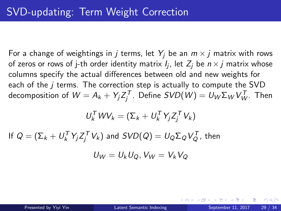For a change of weightings in j terms, let  $Y_i$  be an  $m \times j$  matrix with rows of zeros or rows of j-th order identity matrix  $\mathit{l}_j$ , let  $\mathit{Z}_j$  be  $\mathit{n} \times \mathit{j}$  matrix whose columns specify the actual differences between old and new weights for each of the  $i$  terms. The correction step is actually to compute the SVD decomposition of  $W = A_k + Y_j Z_j^{\mathcal T}$ . Define  $SVD(W) = U_{W}\Sigma_W V_W^{\mathcal T}$ . Then

$$
U_k^T W V_k = (\Sigma_k + U_k^T Y_j Z_j^T V_k)
$$

If  $Q=(\mathsf{\Sigma}_k+U_k^{\mathsf{T}}\mathsf{Y}_j\mathsf{Z}_j^{\mathsf{T}}\mathsf{V}_k)$  and  $\mathsf{SVD}(Q)=U_Q\mathsf{\Sigma}_Q\mathsf{V}_Q^{\mathsf{T}},$  then

$$
U_W = U_k U_Q, V_W = V_k V_Q
$$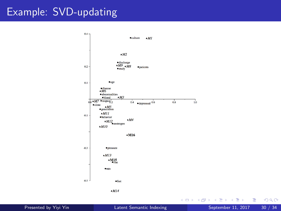#### Example: SVD-updating



Presented by Yivi Yin **[Latent Semantic Indexing](#page-0-0) September 11, 2017** 30 / 34

 $299$ 

活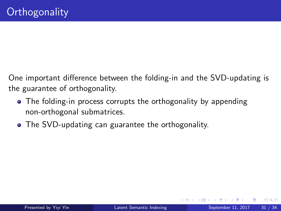One important difference between the folding-in and the SVD-updating is the guarantee of orthogonality.

- The folding-in process corrupts the orthogonality by appending non-orthogonal submatrices.
- The SVD-updating can guarantee the orthogonality.

4 D F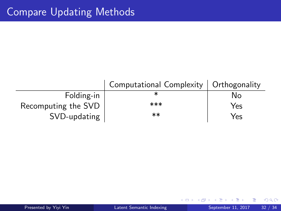|                     | Computational Complexity   Orthogonality |     |
|---------------------|------------------------------------------|-----|
| Folding-in          |                                          | N٥  |
| Recomputing the SVD | ***                                      | Yes |
| SVD-updating        | $***$                                    | Yes |

4 0 8

- ∢ r¶ ×  $\mathcal{A}$ 

重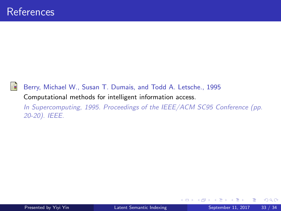

Berry, Michael W., Susan T. Dumais, and Todd A. Letsche., 1995 Computational methods for intelligent information access.

In Supercomputing, 1995. Proceedings of the IEEE/ACM SC95 Conference (pp. 20-20). IEEE.

4 0 8